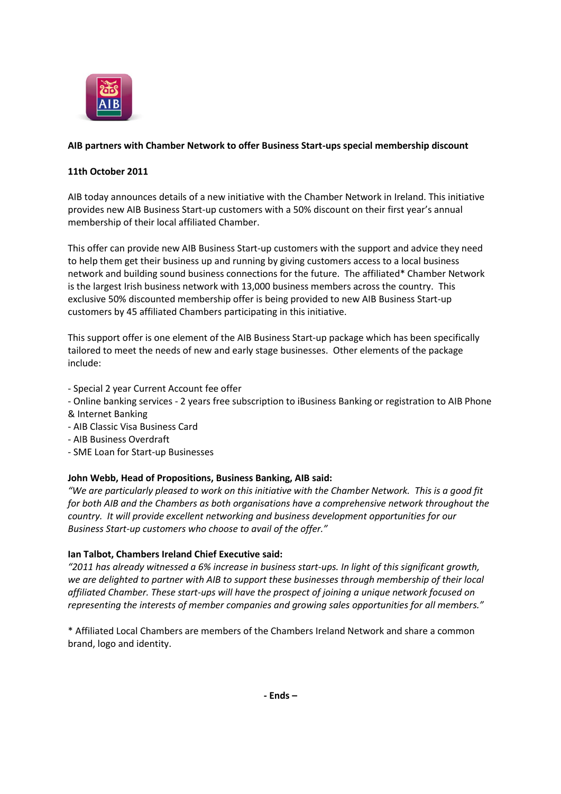

# **AIB partners with Chamber Network to offer Business Start-ups special membership discount**

## **11th October 2011**

AIB today announces details of a new initiative with the Chamber Network in Ireland. This initiative provides new AIB Business Start-up customers with a 50% discount on their first year's annual membership of their local affiliated Chamber.

This offer can provide new AIB Business Start-up customers with the support and advice they need to help them get their business up and running by giving customers access to a local business network and building sound business connections for the future. The affiliated\* Chamber Network is the largest Irish business network with 13,000 business members across the country. This exclusive 50% discounted membership offer is being provided to new AIB Business Start-up customers by 45 affiliated Chambers participating in this initiative.

This support offer is one element of the AIB Business Start-up package which has been specifically tailored to meet the needs of new and early stage businesses. Other elements of the package include:

- Special 2 year Current Account fee offer
- Online banking services 2 years free subscription to iBusiness Banking or registration to AIB Phone & Internet Banking
- AIB Classic Visa Business Card
- AIB Business Overdraft
- SME Loan for Start-up Businesses

### **John Webb, Head of Propositions, Business Banking, AIB said:**

*"We are particularly pleased to work on this initiative with the Chamber Network. This is a good fit for both AIB and the Chambers as both organisations have a comprehensive network throughout the country. It will provide excellent networking and business development opportunities for our Business Start-up customers who choose to avail of the offer."*

### **Ian Talbot, Chambers Ireland Chief Executive said:**

*"2011 has already witnessed a 6% increase in business start-ups. In light of this significant growth, we are delighted to partner with AIB to support these businesses through membership of their local affiliated Chamber. These start-ups will have the prospect of joining a unique network focused on representing the interests of member companies and growing sales opportunities for all members."*

\* Affiliated Local Chambers are members of the Chambers Ireland Network and share a common brand, logo and identity.